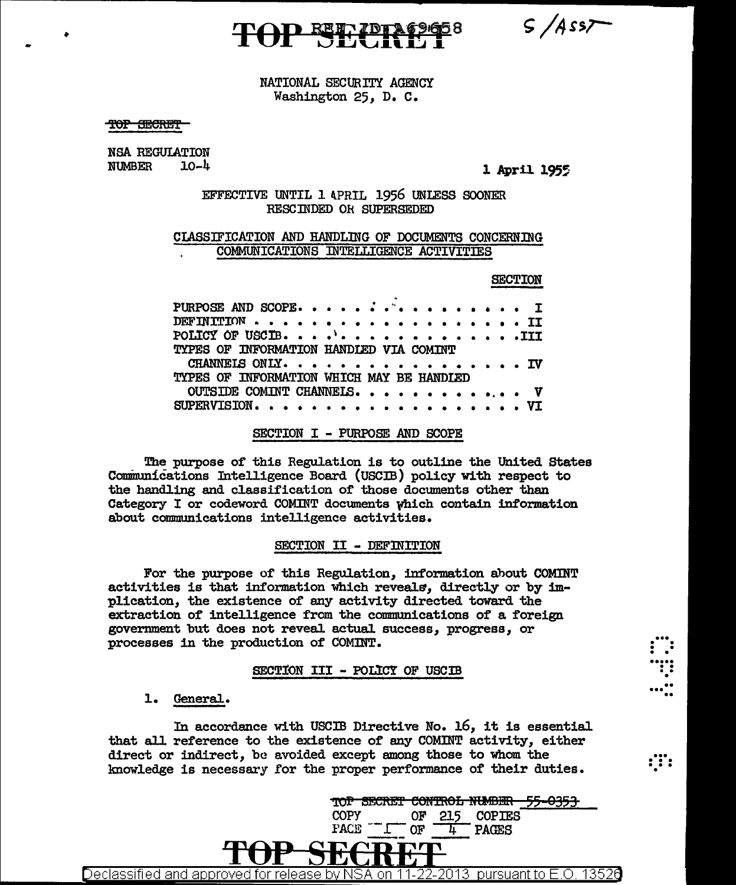$S/Ass7$ 

### NATIONAL SECURITY AGENCY Washington 25, D. C.

<del>SECRET</del>

•

NSA REGUIATION NUMBER 10-4 1 **1955** 

### EFFECTIVE UNTIL 1 APRIL 1956 UNLESS SOONER RESCINDED OR SUPERSEDED

#### CIASSIFICATION AND HANDLING OF DOCUMENTS CONCERNING COMMUNICATIONS INTELLIGENCE ACTIVITIES

#### SECTION

 $\vdots$  . ..... . . .. • ....<br>......

 $: \mathbb{N}$  .

| PURPOSE AND SCOPE                         |  |  |  |  |
|-------------------------------------------|--|--|--|--|
|                                           |  |  |  |  |
| POLICY OF USCIB. $\cdots$ TIT             |  |  |  |  |
| TYPES OF INFORMATION HANDIED VIA COMINT   |  |  |  |  |
| CHANNELS ONLY. IV                         |  |  |  |  |
| TYPES OF INFORMATION WHICH MAY BE HANDLED |  |  |  |  |
| OUTSIDE COMINT CHANNELS. V                |  |  |  |  |
|                                           |  |  |  |  |

#### SECTION I - PURPOSE AND SCOPE

The purpose of this Regulation is to outline the United States Communications Intelligence Board (USCIB) policy with respect to the handling and classification of those documents other than Category I or codeword COMINT documents which contain information about communications intelligence activities.

#### SECTION II - DEFINITION

For the purpose of this Regulation, information about COMINT activities is that information which reveals, directly or by implication, the existence of any activity directed toward the extraction of intelligence from the communications of a foreign government but does not reveal actual success, progress, or processes in the production of COMINT.

#### SECTION III - POLICY OF USCIB

1. General.

In accordance with USCIB Directive No. 16, it is essential that all reference to the existence of any COMINT activity, either direct or indirect, be avoided except among those to whom the knowledge is necessary £or the proper performance of their duties.

**TOP SECRET CONTROL NUMBER 55-0353.**<br>COPY OF 215 COPIES COPY OF 215 COPIES<br>PACE  $\frac{CF}{4}$  PACES COPY<br>PACE -<u>1</u> OF  $\frac{215}{4}$  PAGES <u>Declassified and approved for release by NSA on 11-22-2013  $\,$  pursuant to E.O. 13526  $\,$ </u>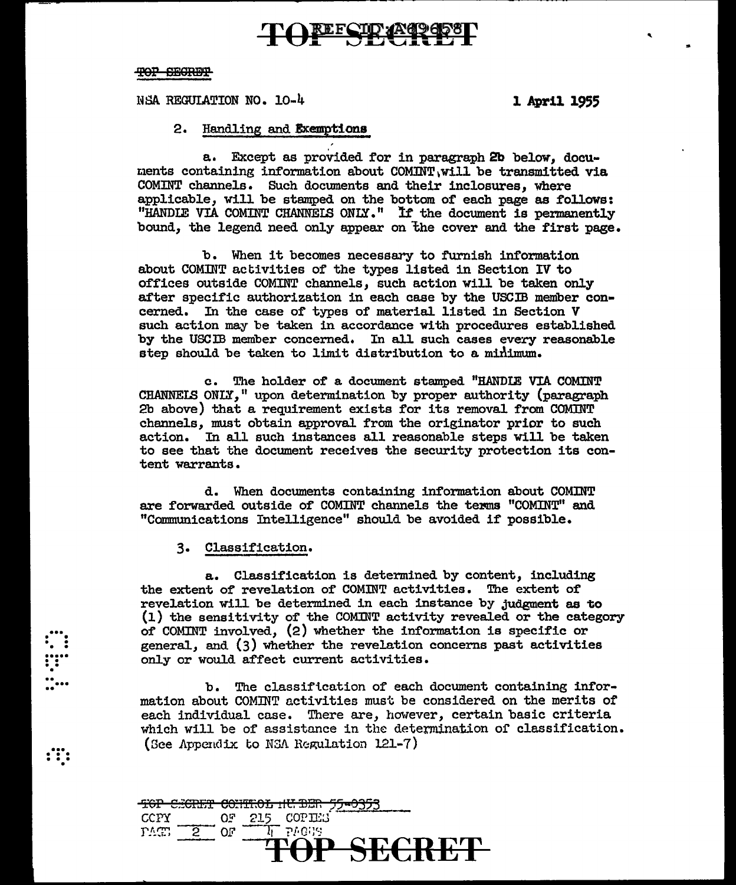## **COREECID (ACCESS)**

#### TOP SEGRET

NSA REGUIATION NO. 10-4 1 April 1955

'

### 2. Handling and Exemptions

a. Except as provided for in paragraph 2b below, documents containing information about  $\text{COMINT}\text{ }W111$  be transmitted via COMINT channels. Such documents and their inclosures, where applicable, will be stamped on the bottom of each page as follows: "HANDIE VIA COMINT CHANNELS ONLY." If the document is permanently bound, the legend need only appear on the cover and the first page.

b. When it becomes necessary to turnish information about COMINT activities of the types listed in Section IV to offices outside COMINT channels, such action will be taken only after specific authorization in each case by the USCIB member concerned. In the case of types of material listed in Section V such action may be taken in accordance with procedures established by the USCIB member concerned. In all such cases every reasonable step should be taken to limit distribution to a minimum.

c. The holder of a document stamped "RANDIE VIA COMINT CRANNEIS ONLY," upon determination by proper authority (paragraph 2b above) that a requirement exists for its removal from COMlNT channels, must obtain approval from the originator prior to such action. In all such instances all reasonable steps Will be taken to see that the document receives the security protection its content warrants.

d. When documents containing information about COMINT are forwarded outside of COMINT channels the terms "COMINT" and "Communications Intelligence" should be avoided if possible.

3. Classification.

 $\vdots$  :

 $\ddot{...}\ \ddot{...}$  $\mathbf{r}$ ...

 $\cdot$  . . .

a. Classification is determined by content, including the extent of revelation of COMINT activities. The extent of revelation will be determined in each instance by judgment as to (1) the sensitivity of the COMlNT activity revealed or the category of COMINT involved,  $(2)$  whether the information is specific or general, and (3) whether the revelation concerns past activities only or would affect current activities.

b. The classiftcation of each document containing information about COMJNT activities must be considered on the merits of each individual case. There are, however, certain basic criteria which will be of assistance in the determination of classification. (See Appendix to NSA Regulation 121-7)

|       |                                  |  | CDIE CONTENAY UIT DID CE AOCA |  |  |
|-------|----------------------------------|--|-------------------------------|--|--|
|       | <u>ror esquir common necasio</u> |  |                               |  |  |
| CCPY. |                                  |  | OF 215 COPIES                 |  |  |
| r^c.  | - 2                              |  | $\top$ pagges .               |  |  |
|       |                                  |  | <b>TRAD CEADET</b>            |  |  |
|       |                                  |  | ПИ ТИТЕ                       |  |  |
|       |                                  |  |                               |  |  |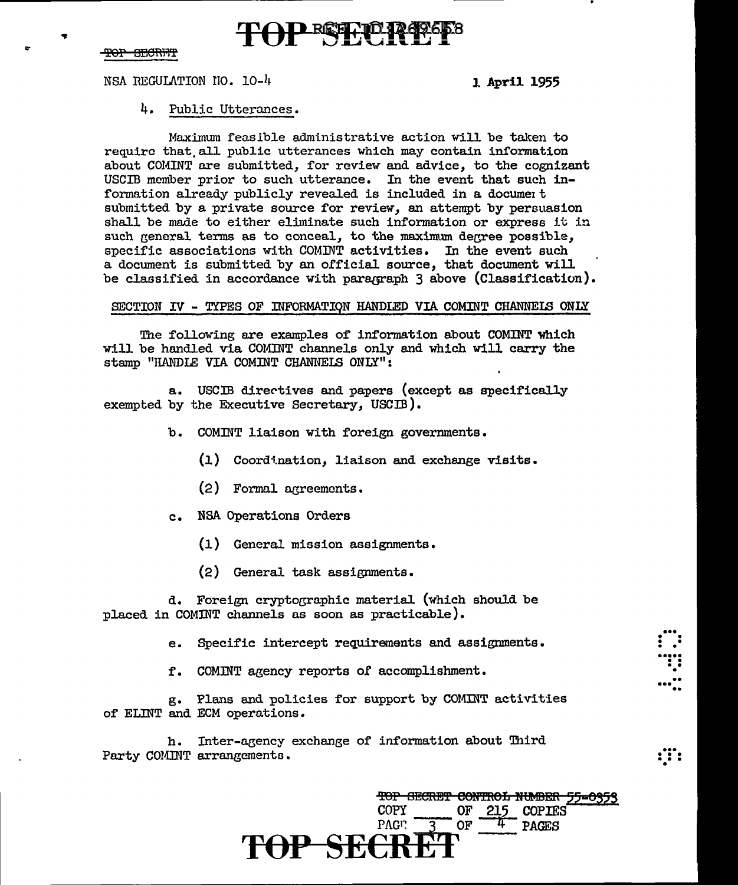#### <del>TOP SECRET</del>

NSA REGULATION NO. 10-4

1 April 1955

#### 4. Public Utterances.

Maximum feasible administrative action will be taken to require that all public utterances which may contain information about COMINT are submitted, for review and advice, to the cognizant USCIB member prior to such utterance. In the event that such information already publicly revealed is included in a document submitted by a private source for review, an attempt by persuasion shall be made to either eliminate such information or express it in such general terms as to conceal, to the maximum degree possible, specific associations with COMINT activities. In the event such a document is submitted by an official source, that document will be classified in accordance with paragraph 3 above (Classification).

#### SECTION IV - TYPES OF INFORMATION HANDLED VIA COMINT CHANNELS ONLY

The following are examples of information about COMINT which will be handled via COMINT channels only and which will carry the stamp "HANDLE VIA COMINT CHANNELS ONLY":

a. USCIB directives and papers (except as specifically exempted by the Executive Secretary, USCIB).

- b. COMINT liaison with foreign governments.
	- (1) Coordination, liaison and exchange visits.
	- (2) Formal agreements.
- NSA Operations Orders  $c_{\bullet}$ 
	- $(1)$  General mission assignments.
	- (2) General task assignments.

d. Foreign cryptographic material (which should be placed in COMINT channels as soon as practicable).

e. Specific intercept requirements and assignments.

f. COMINT agency reports of accomplishment.

g. Plans and policies for support by COMINT activities of ELINT and ECM operations.

h. Inter-agency exchange of information about Third Party COMINT arrangements.

> TOP SECRET CONTROL NUMBER 55-0353 **COPY** OF 215 COPIES **OF** PAG<sub>P</sub> **PAGES**

: :::